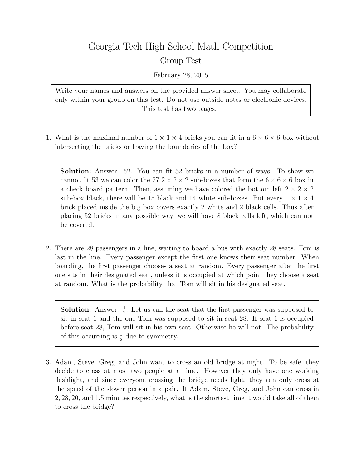## Georgia Tech High School Math Competition Group Test

February 28, 2015

Write your names and answers on the provided answer sheet. You may collaborate only within your group on this test. Do not use outside notes or electronic devices. This test has two pages.

1. What is the maximal number of  $1 \times 1 \times 4$  bricks you can fit in a  $6 \times 6 \times 6$  box without intersecting the bricks or leaving the boundaries of the box?

Solution: Answer: 52. You can fit 52 bricks in a number of ways. To show we cannot fit 53 we can color the  $27.2 \times 2 \times 2$  sub-boxes that form the  $6 \times 6 \times 6$  box in a check board pattern. Then, assuming we have colored the bottom left  $2 \times 2 \times 2$ sub-box black, there will be 15 black and 14 white sub-boxes. But every  $1 \times 1 \times 4$ brick placed inside the big box covers exactly 2 white and 2 black cells. Thus after placing 52 bricks in any possible way, we will have 8 black cells left, which can not be covered.

2. There are 28 passengers in a line, waiting to board a bus with exactly 28 seats. Tom is last in the line. Every passenger except the first one knows their seat number. When boarding, the first passenger chooses a seat at random. Every passenger after the first one sits in their designated seat, unless it is occupied at which point they choose a seat at random. What is the probability that Tom will sit in his designated seat.

**Solution:** Answer:  $\frac{1}{2}$ . Let us call the seat that the first passenger was supposed to sit in seat 1 and the one Tom was supposed to sit in seat 28. If seat 1 is occupied before seat 28, Tom will sit in his own seat. Otherwise he will not. The probability of this occurring is  $\frac{1}{2}$  due to symmetry.

3. Adam, Steve, Greg, and John want to cross an old bridge at night. To be safe, they decide to cross at most two people at a time. However they only have one working flashlight, and since everyone crossing the bridge needs light, they can only cross at the speed of the slower person in a pair. If Adam, Steve, Greg, and John can cross in 2, 28, 20, and 1.5 minutes respectively, what is the shortest time it would take all of them to cross the bridge?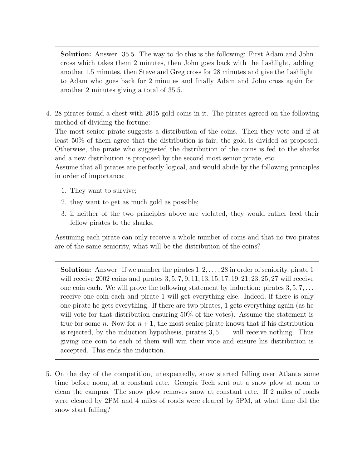Solution: Answer: 35.5. The way to do this is the following: First Adam and John cross which takes them 2 minutes, then John goes back with the flashlight, adding another 1.5 minutes, then Steve and Greg cross for 28 minutes and give the flashlight to Adam who goes back for 2 minutes and finally Adam and John cross again for another 2 minutes giving a total of 35.5.

4. 28 pirates found a chest with 2015 gold coins in it. The pirates agreed on the following method of dividing the fortune:

The most senior pirate suggests a distribution of the coins. Then they vote and if at least 50% of them agree that the distribution is fair, the gold is divided as proposed. Otherwise, the pirate who suggested the distribution of the coins is fed to the sharks and a new distribution is proposed by the second most senior pirate, etc.

Assume that all pirates are perfectly logical, and would abide by the following principles in order of importance:

- 1. They want to survive;
- 2. they want to get as much gold as possible;
- 3. if neither of the two principles above are violated, they would rather feed their fellow pirates to the sharks.

Assuming each pirate can only receive a whole number of coins and that no two pirates are of the same seniority, what will be the distribution of the coins?

**Solution:** Answer: If we number the pirates  $1, 2, \ldots, 28$  in order of seniority, pirate 1 will receive 2002 coins and pirates 3, 5, 7, 9, 11, 13, 15, 17, 19, 21, 23, 25, 27 will receive one coin each. We will prove the following statement by induction: pirates  $3, 5, 7, \ldots$ receive one coin each and pirate 1 will get everything else. Indeed, if there is only one pirate he gets everything. If there are two pirates, 1 gets everything again (as he will vote for that distribution ensuring 50% of the votes). Assume the statement is true for some n. Now for  $n + 1$ , the most senior pirate knows that if his distribution is rejected, by the induction hypothesis, pirates  $3, 5, \ldots$  will receive nothing. Thus giving one coin to each of them will win their vote and ensure his distribution is accepted. This ends the induction.

5. On the day of the competition, unexpectedly, snow started falling over Atlanta some time before noon, at a constant rate. Georgia Tech sent out a snow plow at noon to clean the campus. The snow plow removes snow at constant rate. If 2 miles of roads were cleared by 2PM and 4 miles of roads were cleared by 5PM, at what time did the snow start falling?